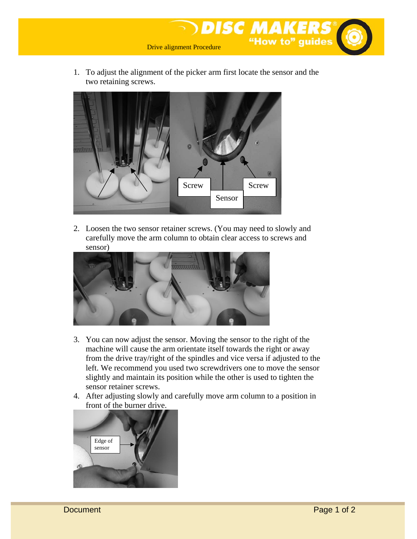

1. To adjust the alignment of the picker arm first locate the sensor and the two retaining screws.



2. Loosen the two sensor retainer screws. (You may need to slowly and carefully move the arm column to obtain clear access to screws and sensor)



- 3. You can now adjust the sensor. Moving the sensor to the right of the machine will cause the arm orientate itself towards the right or away from the drive tray/right of the spindles and vice versa if adjusted to the left. We recommend you used two screwdrivers one to move the sensor slightly and maintain its position while the other is used to tighten the sensor retainer screws.
- 4. After adjusting slowly and carefully move arm column to a position in front of the burner drive.